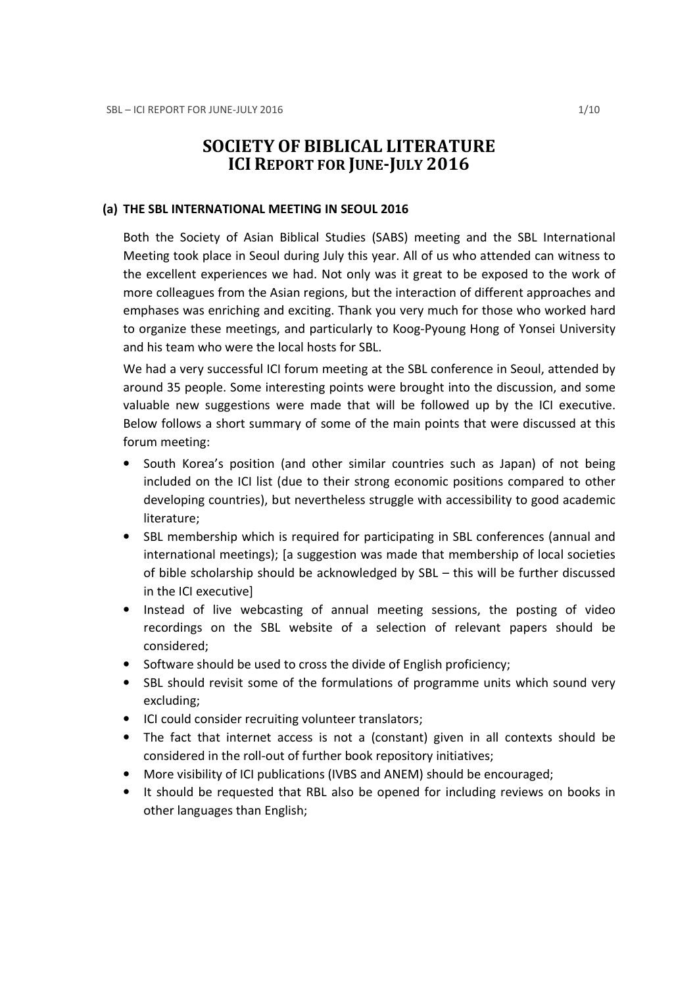# SOCIETY OF BIBLICAL LITERATURE ICI REPORT FOR JUNE-JULY 2016

#### (a) THE SBL INTERNATIONAL MEETING IN SEOUL 2016

Both the Society of Asian Biblical Studies (SABS) meeting and the SBL International Meeting took place in Seoul during July this year. All of us who attended can witness to the excellent experiences we had. Not only was it great to be exposed to the work of more colleagues from the Asian regions, but the interaction of different approaches and emphases was enriching and exciting. Thank you very much for those who worked hard to organize these meetings, and particularly to Koog-Pyoung Hong of Yonsei University and his team who were the local hosts for SBL.

We had a very successful ICI forum meeting at the SBL conference in Seoul, attended by around 35 people. Some interesting points were brought into the discussion, and some valuable new suggestions were made that will be followed up by the ICI executive. Below follows a short summary of some of the main points that were discussed at this forum meeting:

- South Korea's position (and other similar countries such as Japan) of not being included on the ICI list (due to their strong economic positions compared to other developing countries), but nevertheless struggle with accessibility to good academic literature;
- SBL membership which is required for participating in SBL conferences (annual and international meetings); [a suggestion was made that membership of local societies of bible scholarship should be acknowledged by SBL – this will be further discussed in the ICI executive]
- Instead of live webcasting of annual meeting sessions, the posting of video recordings on the SBL website of a selection of relevant papers should be considered;
- Software should be used to cross the divide of English proficiency;
- SBL should revisit some of the formulations of programme units which sound very excluding;
- ICI could consider recruiting volunteer translators;
- The fact that internet access is not a (constant) given in all contexts should be considered in the roll-out of further book repository initiatives;
- More visibility of ICI publications (IVBS and ANEM) should be encouraged;
- It should be requested that RBL also be opened for including reviews on books in other languages than English;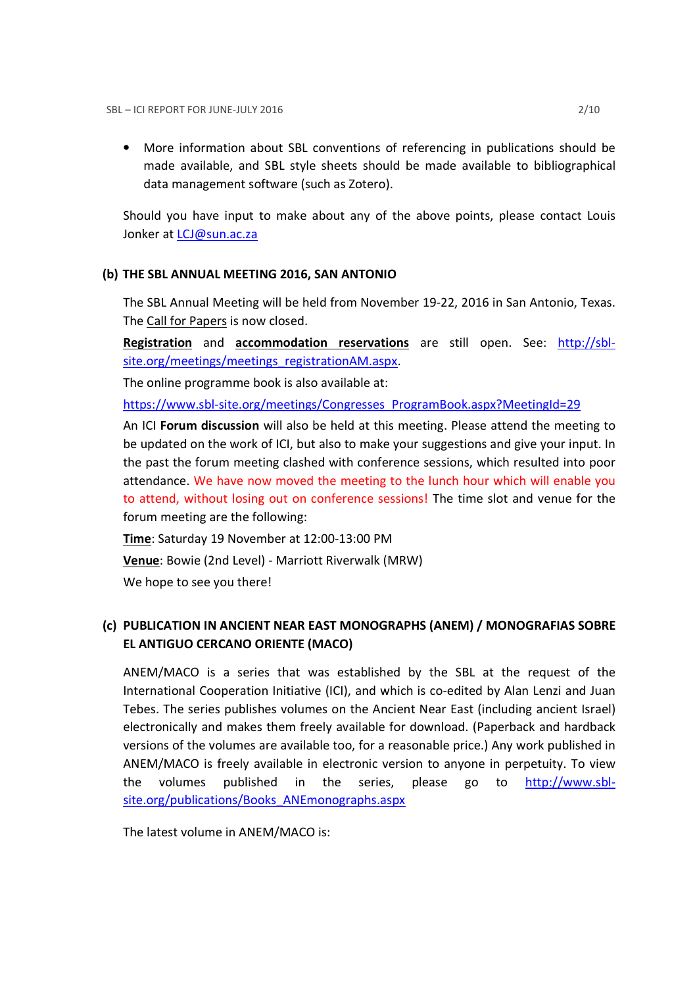• More information about SBL conventions of referencing in publications should be made available, and SBL style sheets should be made available to bibliographical data management software (such as Zotero).

Should you have input to make about any of the above points, please contact Louis Jonker at *LCJ@sun.ac.za* 

### (b) THE SBL ANNUAL MEETING 2016, SAN ANTONIO

The SBL Annual Meeting will be held from November 19-22, 2016 in San Antonio, Texas. The Call for Papers is now closed.

Registration and accommodation reservations are still open. See: http://sblsite.org/meetings/meetings\_registrationAM.aspx.

The online programme book is also available at:

https://www.sbl-site.org/meetings/Congresses\_ProgramBook.aspx?MeetingId=29

An ICI Forum discussion will also be held at this meeting. Please attend the meeting to be updated on the work of ICI, but also to make your suggestions and give your input. In the past the forum meeting clashed with conference sessions, which resulted into poor attendance. We have now moved the meeting to the lunch hour which will enable you to attend, without losing out on conference sessions! The time slot and venue for the forum meeting are the following:

Time: Saturday 19 November at 12:00-13:00 PM

Venue: Bowie (2nd Level) - Marriott Riverwalk (MRW)

We hope to see you there!

## (c) PUBLICATION IN ANCIENT NEAR EAST MONOGRAPHS (ANEM) / MONOGRAFIAS SOBRE EL ANTIGUO CERCANO ORIENTE (MACO)

ANEM/MACO is a series that was established by the SBL at the request of the International Cooperation Initiative (ICI), and which is co-edited by Alan Lenzi and Juan Tebes. The series publishes volumes on the Ancient Near East (including ancient Israel) electronically and makes them freely available for download. (Paperback and hardback versions of the volumes are available too, for a reasonable price.) Any work published in ANEM/MACO is freely available in electronic version to anyone in perpetuity. To view the volumes published in the series, please go to http://www.sblsite.org/publications/Books ANEmonographs.aspx

The latest volume in ANEM/MACO is: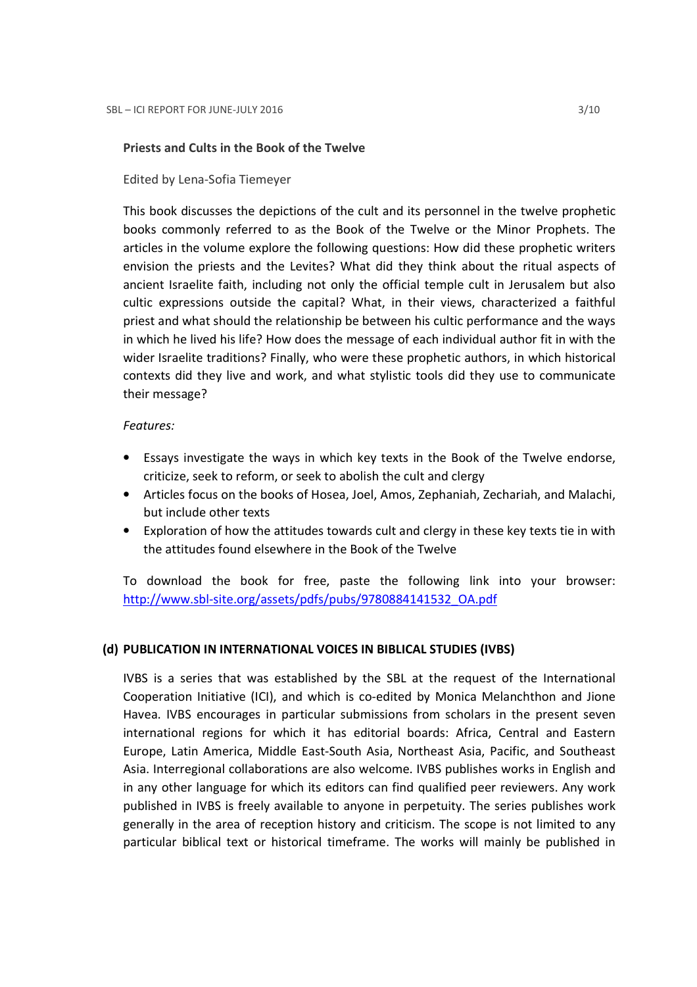#### Priests and Cults in the Book of the Twelve

Edited by Lena-Sofia Tiemeyer

This book discusses the depictions of the cult and its personnel in the twelve prophetic books commonly referred to as the Book of the Twelve or the Minor Prophets. The articles in the volume explore the following questions: How did these prophetic writers envision the priests and the Levites? What did they think about the ritual aspects of ancient Israelite faith, including not only the official temple cult in Jerusalem but also cultic expressions outside the capital? What, in their views, characterized a faithful priest and what should the relationship be between his cultic performance and the ways in which he lived his life? How does the message of each individual author fit in with the wider Israelite traditions? Finally, who were these prophetic authors, in which historical contexts did they live and work, and what stylistic tools did they use to communicate their message?

### Features:

- Essays investigate the ways in which key texts in the Book of the Twelve endorse, criticize, seek to reform, or seek to abolish the cult and clergy
- Articles focus on the books of Hosea, Joel, Amos, Zephaniah, Zechariah, and Malachi, but include other texts
- Exploration of how the attitudes towards cult and clergy in these key texts tie in with the attitudes found elsewhere in the Book of the Twelve

To download the book for free, paste the following link into your browser: http://www.sbl-site.org/assets/pdfs/pubs/9780884141532\_OA.pdf

### (d) PUBLICATION IN INTERNATIONAL VOICES IN BIBLICAL STUDIES (IVBS)

IVBS is a series that was established by the SBL at the request of the International Cooperation Initiative (ICI), and which is co-edited by Monica Melanchthon and Jione Havea. IVBS encourages in particular submissions from scholars in the present seven international regions for which it has editorial boards: Africa, Central and Eastern Europe, Latin America, Middle East-South Asia, Northeast Asia, Pacific, and Southeast Asia. Interregional collaborations are also welcome. IVBS publishes works in English and in any other language for which its editors can find qualified peer reviewers. Any work published in IVBS is freely available to anyone in perpetuity. The series publishes work generally in the area of reception history and criticism. The scope is not limited to any particular biblical text or historical timeframe. The works will mainly be published in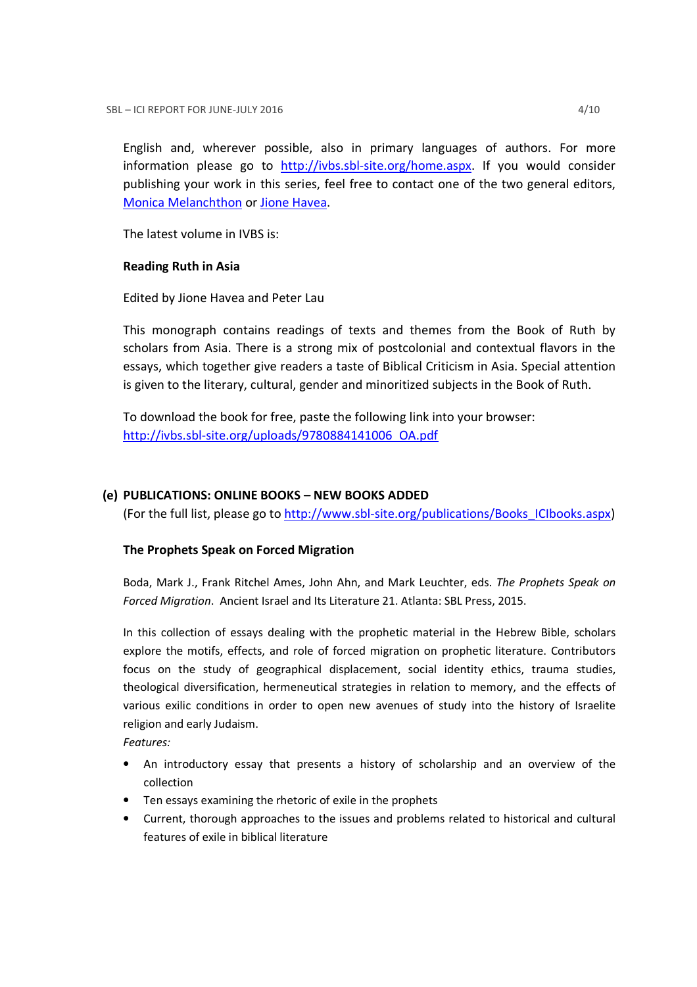English and, wherever possible, also in primary languages of authors. For more information please go to http://ivbs.sbl-site.org/home.aspx. If you would consider publishing your work in this series, feel free to contact one of the two general editors, Monica Melanchthon or Jione Havea.

The latest volume in IVBS is:

### Reading Ruth in Asia

Edited by Jione Havea and Peter Lau

This monograph contains readings of texts and themes from the Book of Ruth by scholars from Asia. There is a strong mix of postcolonial and contextual flavors in the essays, which together give readers a taste of Biblical Criticism in Asia. Special attention is given to the literary, cultural, gender and minoritized subjects in the Book of Ruth.

To download the book for free, paste the following link into your browser: http://ivbs.sbl-site.org/uploads/9780884141006\_OA.pdf

### (e) PUBLICATIONS: ONLINE BOOKS – NEW BOOKS ADDED

(For the full list, please go to http://www.sbl-site.org/publications/Books\_ICIbooks.aspx)

### The Prophets Speak on Forced Migration

Boda, Mark J., Frank Ritchel Ames, John Ahn, and Mark Leuchter, eds. The Prophets Speak on Forced Migration. Ancient Israel and Its Literature 21. Atlanta: SBL Press, 2015.

In this collection of essays dealing with the prophetic material in the Hebrew Bible, scholars explore the motifs, effects, and role of forced migration on prophetic literature. Contributors focus on the study of geographical displacement, social identity ethics, trauma studies, theological diversification, hermeneutical strategies in relation to memory, and the effects of various exilic conditions in order to open new avenues of study into the history of Israelite religion and early Judaism.

Features:

- An introductory essay that presents a history of scholarship and an overview of the collection
- Ten essays examining the rhetoric of exile in the prophets
- Current, thorough approaches to the issues and problems related to historical and cultural features of exile in biblical literature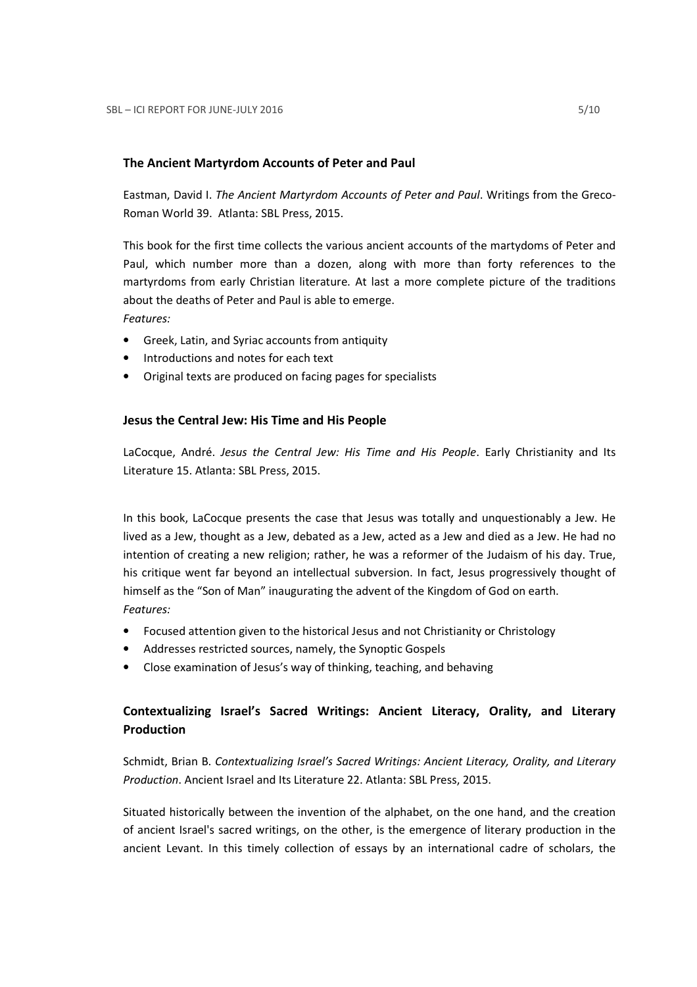### The Ancient Martyrdom Accounts of Peter and Paul

Eastman, David I. The Ancient Martyrdom Accounts of Peter and Paul. Writings from the Greco-Roman World 39. Atlanta: SBL Press, 2015.

This book for the first time collects the various ancient accounts of the martydoms of Peter and Paul, which number more than a dozen, along with more than forty references to the martyrdoms from early Christian literature. At last a more complete picture of the traditions about the deaths of Peter and Paul is able to emerge. Features:

- Greek, Latin, and Syriac accounts from antiquity
- Introductions and notes for each text
- Original texts are produced on facing pages for specialists

### Jesus the Central Jew: His Time and His People

LaCocque, André. Jesus the Central Jew: His Time and His People. Early Christianity and Its Literature 15. Atlanta: SBL Press, 2015.

In this book, LaCocque presents the case that Jesus was totally and unquestionably a Jew. He lived as a Jew, thought as a Jew, debated as a Jew, acted as a Jew and died as a Jew. He had no intention of creating a new religion; rather, he was a reformer of the Judaism of his day. True, his critique went far beyond an intellectual subversion. In fact, Jesus progressively thought of himself as the "Son of Man" inaugurating the advent of the Kingdom of God on earth. Features:

- Focused attention given to the historical Jesus and not Christianity or Christology
- Addresses restricted sources, namely, the Synoptic Gospels
- Close examination of Jesus's way of thinking, teaching, and behaving

## Contextualizing Israel's Sacred Writings: Ancient Literacy, Orality, and Literary Production

Schmidt, Brian B. Contextualizing Israel's Sacred Writings: Ancient Literacy, Orality, and Literary Production. Ancient Israel and Its Literature 22. Atlanta: SBL Press, 2015.

Situated historically between the invention of the alphabet, on the one hand, and the creation of ancient Israel's sacred writings, on the other, is the emergence of literary production in the ancient Levant. In this timely collection of essays by an international cadre of scholars, the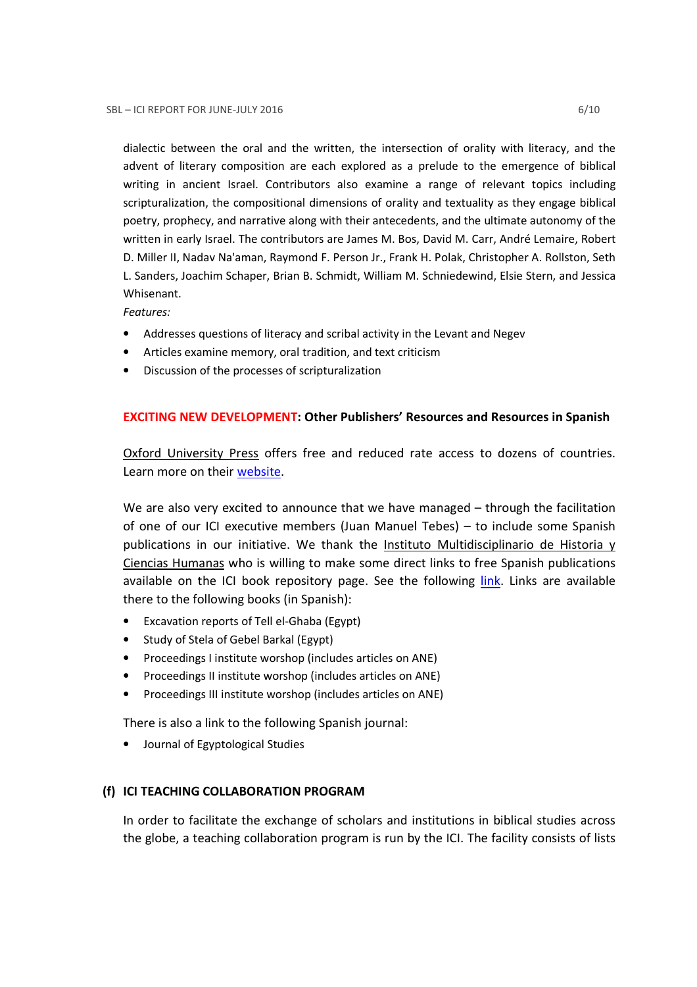dialectic between the oral and the written, the intersection of orality with literacy, and the advent of literary composition are each explored as a prelude to the emergence of biblical writing in ancient Israel. Contributors also examine a range of relevant topics including scripturalization, the compositional dimensions of orality and textuality as they engage biblical poetry, prophecy, and narrative along with their antecedents, and the ultimate autonomy of the written in early Israel. The contributors are James M. Bos, David M. Carr, André Lemaire, Robert D. Miller II, Nadav Na'aman, Raymond F. Person Jr., Frank H. Polak, Christopher A. Rollston, Seth L. Sanders, Joachim Schaper, Brian B. Schmidt, William M. Schniedewind, Elsie Stern, and Jessica Whisenant.

Features:

- Addresses questions of literacy and scribal activity in the Levant and Negev
- Articles examine memory, oral tradition, and text criticism
- Discussion of the processes of scripturalization

### EXCITING NEW DEVELOPMENT: Other Publishers' Resources and Resources in Spanish

Oxford University Press offers free and reduced rate access to dozens of countries. Learn more on their website.

We are also very excited to announce that we have managed – through the facilitation of one of our ICI executive members (Juan Manuel Tebes) – to include some Spanish publications in our initiative. We thank the Instituto Multidisciplinario de Historia y Ciencias Humanas who is willing to make some direct links to free Spanish publications available on the ICI book repository page. See the following *link*. Links are available there to the following books (in Spanish):

- Excavation reports of Tell el-Ghaba (Egypt)
- Study of Stela of Gebel Barkal (Egypt)
- Proceedings I institute worshop (includes articles on ANE)
- Proceedings II institute worshop (includes articles on ANE)
- Proceedings III institute worshop (includes articles on ANE)

There is also a link to the following Spanish journal:

• Journal of Egyptological Studies

#### (f) ICI TEACHING COLLABORATION PROGRAM

In order to facilitate the exchange of scholars and institutions in biblical studies across the globe, a teaching collaboration program is run by the ICI. The facility consists of lists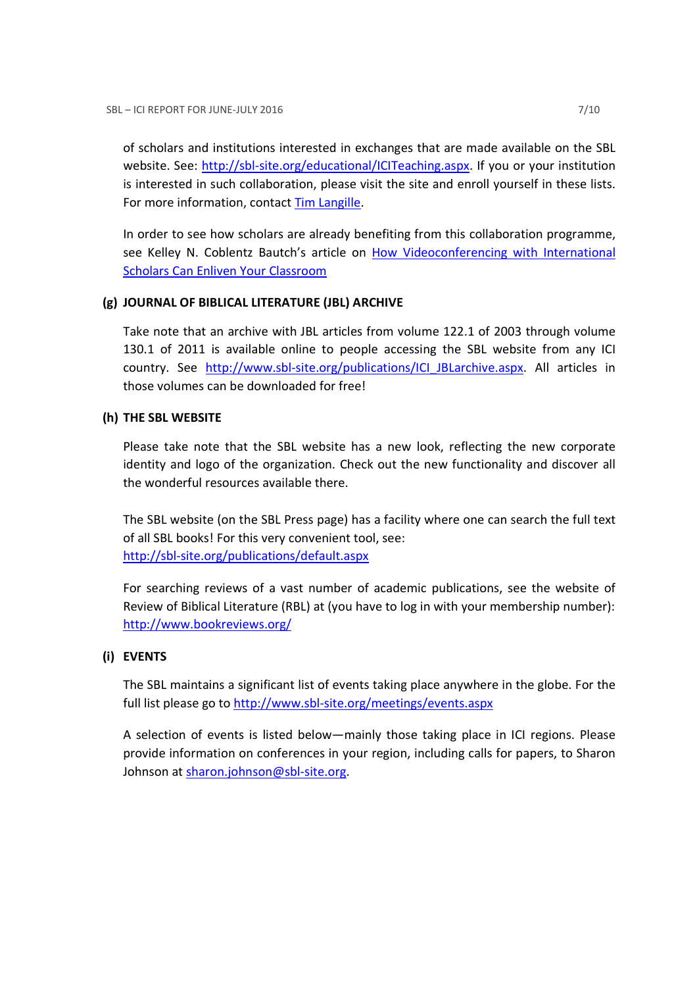of scholars and institutions interested in exchanges that are made available on the SBL website. See: http://sbl-site.org/educational/ICITeaching.aspx. If you or your institution is interested in such collaboration, please visit the site and enroll yourself in these lists. For more information, contact Tim Langille.

In order to see how scholars are already benefiting from this collaboration programme, see Kelley N. Coblentz Bautch's article on How Videoconferencing with International Scholars Can Enliven Your Classroom

### (g) JOURNAL OF BIBLICAL LITERATURE (JBL) ARCHIVE

Take note that an archive with JBL articles from volume 122.1 of 2003 through volume 130.1 of 2011 is available online to people accessing the SBL website from any ICI country. See http://www.sbl-site.org/publications/ICI\_JBLarchive.aspx. All articles in those volumes can be downloaded for free!

### (h) THE SBL WEBSITE

Please take note that the SBL website has a new look, reflecting the new corporate identity and logo of the organization. Check out the new functionality and discover all the wonderful resources available there.

The SBL website (on the SBL Press page) has a facility where one can search the full text of all SBL books! For this very convenient tool, see: http://sbl-site.org/publications/default.aspx

For searching reviews of a vast number of academic publications, see the website of Review of Biblical Literature (RBL) at (you have to log in with your membership number): http://www.bookreviews.org/

### (i) EVENTS

The SBL maintains a significant list of events taking place anywhere in the globe. For the full list please go to http://www.sbl-site.org/meetings/events.aspx

A selection of events is listed below—mainly those taking place in ICI regions. Please provide information on conferences in your region, including calls for papers, to Sharon Johnson at sharon.johnson@sbl-site.org.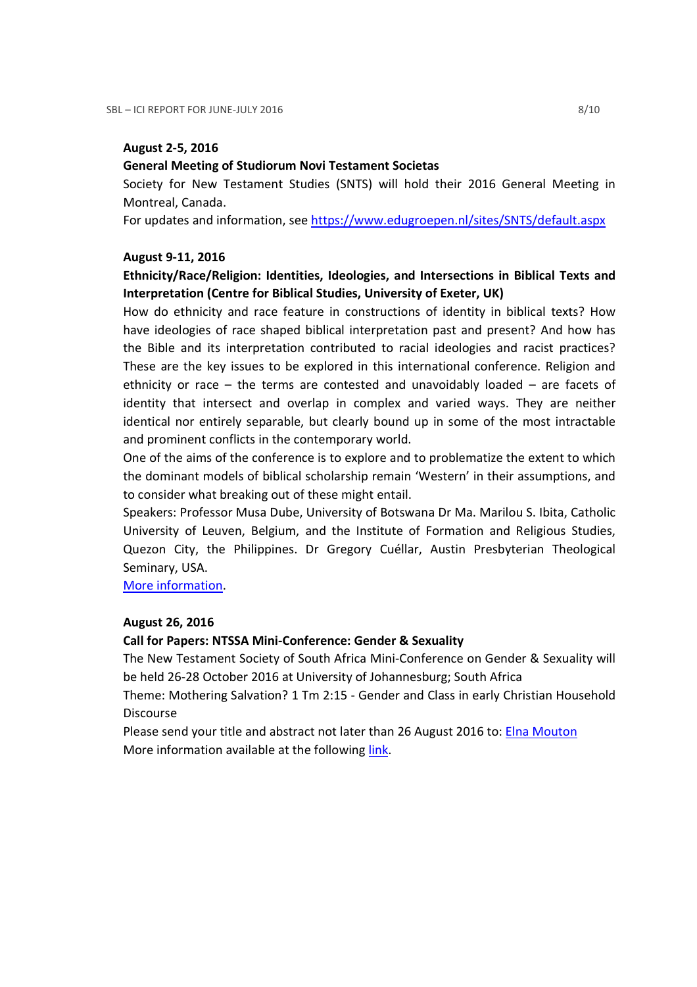#### August 2-5, 2016

### General Meeting of Studiorum Novi Testament Societas

Society for New Testament Studies (SNTS) will hold their 2016 General Meeting in Montreal, Canada.

For updates and information, see https://www.edugroepen.nl/sites/SNTS/default.aspx

### August 9-11, 2016

## Ethnicity/Race/Religion: Identities, Ideologies, and Intersections in Biblical Texts and Interpretation (Centre for Biblical Studies, University of Exeter, UK)

How do ethnicity and race feature in constructions of identity in biblical texts? How have ideologies of race shaped biblical interpretation past and present? And how has the Bible and its interpretation contributed to racial ideologies and racist practices? These are the key issues to be explored in this international conference. Religion and ethnicity or race – the terms are contested and unavoidably loaded – are facets of identity that intersect and overlap in complex and varied ways. They are neither identical nor entirely separable, but clearly bound up in some of the most intractable and prominent conflicts in the contemporary world.

One of the aims of the conference is to explore and to problematize the extent to which the dominant models of biblical scholarship remain 'Western' in their assumptions, and to consider what breaking out of these might entail.

Speakers: Professor Musa Dube, University of Botswana Dr Ma. Marilou S. Ibita, Catholic University of Leuven, Belgium, and the Institute of Formation and Religious Studies, Quezon City, the Philippines. Dr Gregory Cuéllar, Austin Presbyterian Theological Seminary, USA.

More information.

#### August 26, 2016

### Call for Papers: NTSSA Mini-Conference: Gender & Sexuality

The New Testament Society of South Africa Mini-Conference on Gender & Sexuality will be held 26-28 October 2016 at University of Johannesburg; South Africa

Theme: Mothering Salvation? 1 Tm 2:15 - Gender and Class in early Christian Household **Discourse** 

Please send your title and abstract not later than 26 August 2016 to: Elna Mouton More information available at the following link.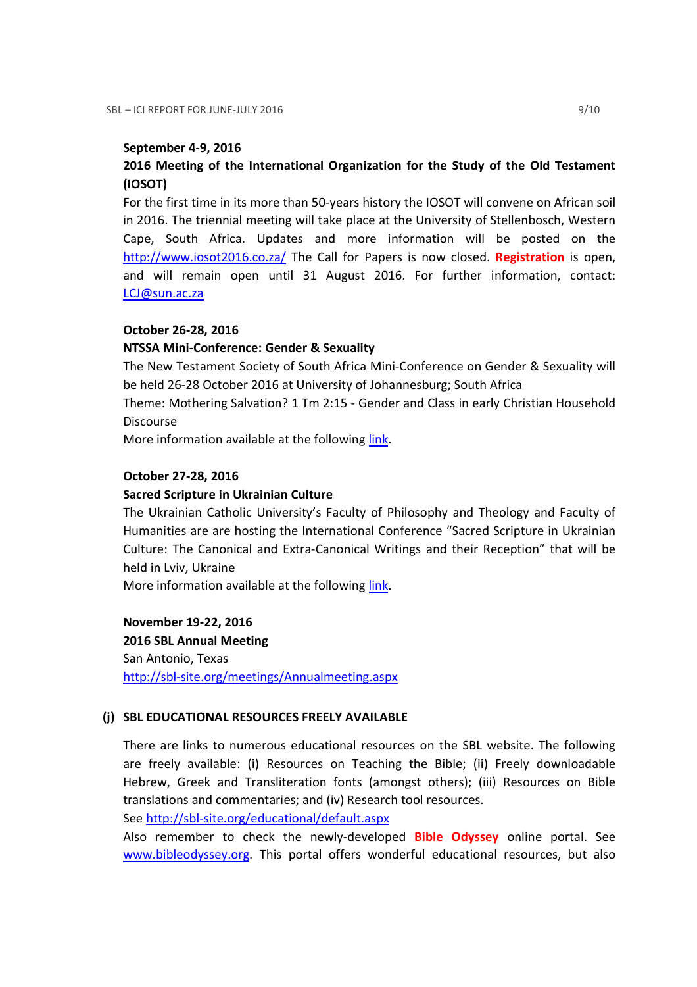### September 4-9, 2016

## 2016 Meeting of the International Organization for the Study of the Old Testament (IOSOT)

For the first time in its more than 50-years history the IOSOT will convene on African soil in 2016. The triennial meeting will take place at the University of Stellenbosch, Western Cape, South Africa. Updates and more information will be posted on the http://www.iosot2016.co.za/ The Call for Papers is now closed. Registration is open, and will remain open until 31 August 2016. For further information, contact: LCJ@sun.ac.za

### October 26-28, 2016

### NTSSA Mini-Conference: Gender & Sexuality

The New Testament Society of South Africa Mini-Conference on Gender & Sexuality will be held 26-28 October 2016 at University of Johannesburg; South Africa

Theme: Mothering Salvation? 1 Tm 2:15 - Gender and Class in early Christian Household Discourse

More information available at the following link.

#### October 27-28, 2016

#### Sacred Scripture in Ukrainian Culture

The Ukrainian Catholic University's Faculty of Philosophy and Theology and Faculty of Humanities are are hosting the International Conference "Sacred Scripture in Ukrainian Culture: The Canonical and Extra-Canonical Writings and their Reception" that will be held in Lviv, Ukraine

More information available at the following link.

November 19-22, 2016

2016 SBL Annual Meeting San Antonio, Texas http://sbl-site.org/meetings/Annualmeeting.aspx

#### (j) SBL EDUCATIONAL RESOURCES FREELY AVAILABLE

There are links to numerous educational resources on the SBL website. The following are freely available: (i) Resources on Teaching the Bible; (ii) Freely downloadable Hebrew, Greek and Transliteration fonts (amongst others); (iii) Resources on Bible translations and commentaries; and (iv) Research tool resources.

See http://sbl-site.org/educational/default.aspx

Also remember to check the newly-developed **Bible Odyssey** online portal. See www.bibleodyssey.org. This portal offers wonderful educational resources, but also